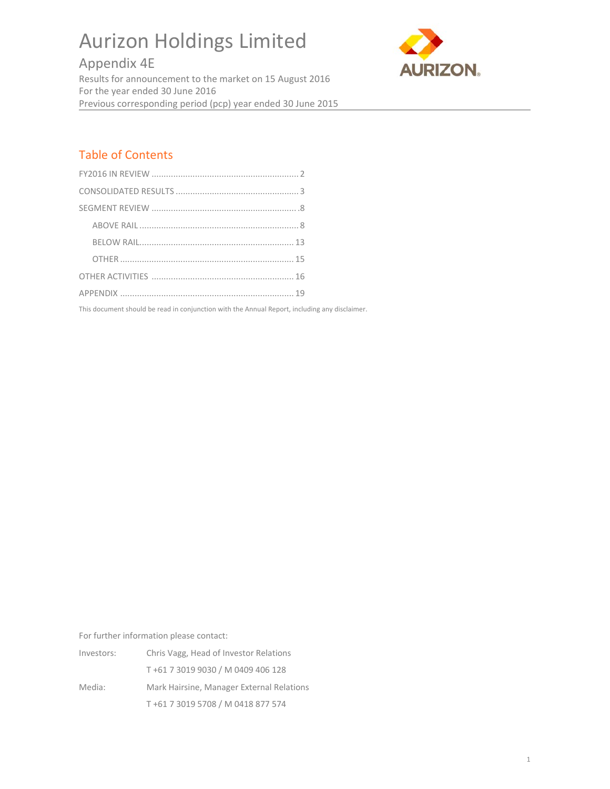# Aurizon Holdings Limited

# Appendix 4E Results for announcement to the market on 15 August 2016 For the year ended 30 June 2016 Previous corresponding period (pcp) year ended 30 June 2015



# Table of Contents

This document should be read in conjunction with the Annual Report, including any disclaimer.

For further information please contact:

| Investors: | Chris Vagg, Head of Investor Relations    |
|------------|-------------------------------------------|
|            | T+61 7 3019 9030 / M 0409 406 128         |
| Media:     | Mark Hairsine, Manager External Relations |
|            | T+61 7 3019 5708 / M 0418 877 574         |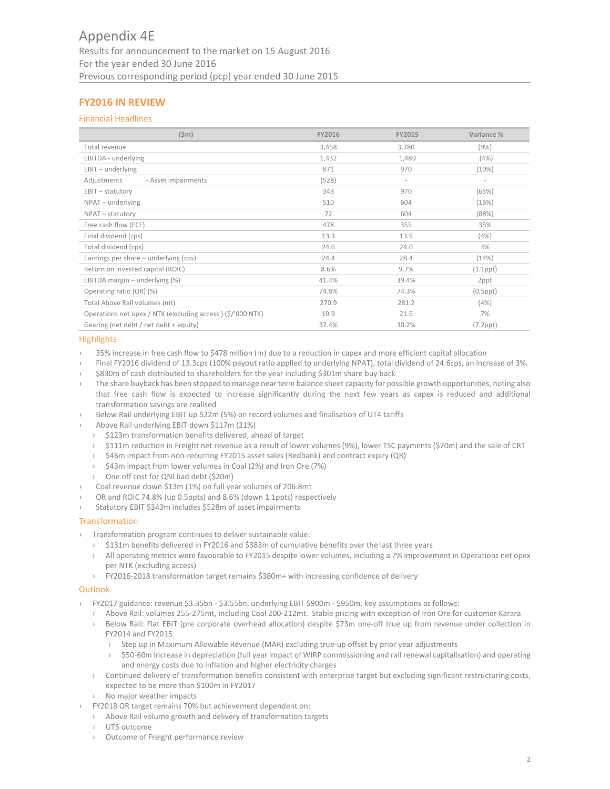# **FY2016 IN REVIEW**

# Financial Headlines

| (Sm)                                                       | FY2016 | <b>FY2015</b> | Variance %     |
|------------------------------------------------------------|--------|---------------|----------------|
| Total revenue                                              | 3,458  | 3,780         | (9%)           |
| EBITDA - underlying                                        | 1,432  | 1,489         | (4%)           |
| $EBIT - underlying$                                        | 871    | 970           | (10%)          |
| Adjustments<br>- Asset impairments                         | (528)  | $\sim$        | $\sim$         |
| $EBIT - statutory$                                         | 343    | 970           | (65%)          |
| NPAT - underlying                                          | 510    | 604           | (16%)          |
| NPAT - statutory                                           | 72     | 604           | (88%)          |
| Free cash flow (FCF)                                       | 478    | 355           | 35%            |
| Final dividend (cps)                                       | 13.3   | 13.9          | (4%)           |
| Total dividend (cps)                                       | 24.6   | 24.0          | 3%             |
| Earnings per share - underlying (cps)                      | 24.4   | 28.4          | (14%)          |
| Return on invested capital (ROIC)                          | 8.6%   | 9.7%          | $(1.1$ ppt $)$ |
| EBITDA margin $-$ underlying $(\%)$                        | 41.4%  | 39.4%         | 2ppt           |
| Operating ratio (OR) (%)                                   | 74.8%  | 74.3%         | $(0.5$ ppt $)$ |
| Total Above Rail volumes (mt)                              | 270.9  | 281.2         | (4%)           |
| Operations net opex / NTK (excluding access) (\$/'000 NTK) | 19.9   | 21.5          | 7%             |
| Gearing (net debt / net debt + equity)                     | 37.4%  | 30.2%         | $(7.2$ ppt $)$ |

#### **Highlights**

- › 35% increase in free cash flow to \$478 million (m) due to a reduction in capex and more efficient capital allocation
- › Final FY2016 dividend of 13.3cps (100% payout ratio applied to underlying NPAT), total dividend of 24.6cps, an increase of 3%.
- › \$830m of cash distributed to shareholders for the year including \$301m share buy back
- The share buyback has been stopped to manage near term balance sheet capacity for possible growth opportunities, noting also that free cash flow is expected to increase significantly during the next few years as capex is reduced and additional transformation savings are realised
- Below Rail underlying EBIT up \$22m (5%) on record volumes and finalisation of UT4 tariffs
- › Above Rail underlying EBIT down \$117m (21%)
- › \$123m transformation benefits delivered, ahead of target
- \$111m reduction in Freight net revenue as a result of lower volumes (9%), lower TSC payments (\$70m) and the sale of CRT
- \$46m impact from non-recurring FY2015 asset sales (Redbank) and contract expiry (QR)
- \$43m impact from lower volumes in Coal (2%) and Iron Ore (7%)
- › One off cost for QNI bad debt (\$20m)
- › Coal revenue down \$13m (1%) on full year volumes of 206.8mt
- OR and ROIC 74.8% (up 0.5ppts) and 8.6% (down 1.1ppts) respectively
- Statutory EBIT \$343m includes \$528m of asset impairments

## Transformation

- › Transformation program continues to deliver sustainable value:
	- › \$131m benefits delivered in FY2016 and \$383m of cumulative benefits over the last three years
	- › All operating metrics were favourable to FY2015 despite lower volumes, including a 7% improvement in Operations net opex per NTK (excluding access)
	- › FY2016‐2018 transformation target remains \$380m+ with increasing confidence of delivery

## **Outlook**

- › FY2017 guidance: revenue \$3.35bn ‐ \$3.55bn, underlying EBIT \$900m ‐ \$950m, key assumptions as follows:
	- › Above Rail: volumes 255‐275mt, including Coal 200‐212mt. Stable pricing with exception of Iron Ore for customer Karara
	- › Below Rail: Flat EBIT (pre corporate overhead allocation) despite \$73m one‐off true up from revenue under collection in FY2014 and FY2015
		- › Step up in Maximum Allowable Revenue (MAR) excluding true‐up offset by prior year adjustments
		- › \$50‐60m increase in depreciation (full year impact of WIRP commissioning and rail renewal capitalisation) and operating and energy costs due to inflation and higher electricity charges
	- › Continued delivery of transformation benefits consistent with enterprise target but excluding significant restructuring costs, expected to be more than \$100m in FY2017
	- › No major weather impacts
- › FY2018 OR target remains 70% but achievement dependent on:
	- › Above Rail volume growth and delivery of transformation targets
	- › UT5 outcome
	- › Outcome of Freight performance review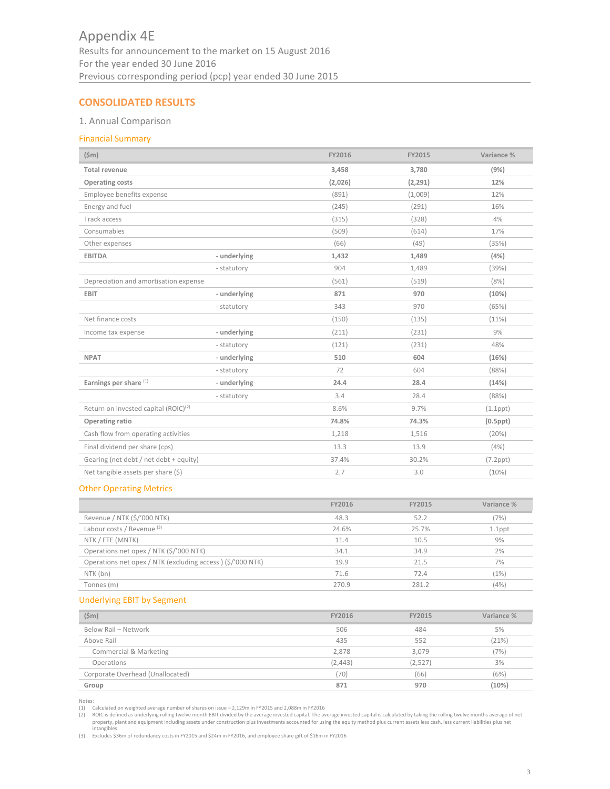# **CONSOLIDATED RESULTS**

# 1. Annual Comparison

# Financial Summary

| $(\$m)$                                          |              | FY2016  | <b>FY2015</b> | Variance %     |
|--------------------------------------------------|--------------|---------|---------------|----------------|
| <b>Total revenue</b>                             |              | 3,458   | 3,780         | (9%)           |
| <b>Operating costs</b>                           |              | (2,026) | (2, 291)      | 12%            |
| Employee benefits expense                        |              | (891)   | (1,009)       | 12%            |
| Energy and fuel                                  |              | (245)   | (291)         | 16%            |
| Track access                                     |              | (315)   | (328)         | 4%             |
| Consumables                                      |              | (509)   | (614)         | 17%            |
| Other expenses                                   |              | (66)    | (49)          | (35%)          |
| <b>EBITDA</b>                                    | - underlying | 1,432   | 1,489         | (4%)           |
|                                                  | - statutory  | 904     | 1,489         | (39%)          |
| Depreciation and amortisation expense            |              | (561)   | (519)         | (8%)           |
| <b>EBIT</b>                                      | - underlying | 871     | 970           | (10%)          |
|                                                  | - statutory  | 343     | 970           | (65%)          |
| Net finance costs                                |              | (150)   | (135)         | (11%)          |
| Income tax expense                               | - underlying | (211)   | (231)         | 9%             |
|                                                  | - statutory  | (121)   | (231)         | 48%            |
| <b>NPAT</b>                                      | - underlying | 510     | 604           | (16%)          |
|                                                  | - statutory  | 72      | 604           | (88%)          |
| Earnings per share (1)                           | - underlying | 24.4    | 28.4          | (14%)          |
|                                                  | - statutory  | 3.4     | 28.4          | (88%)          |
| Return on invested capital (ROIC) <sup>(2)</sup> |              | 8.6%    | 9.7%          | $(1.1$ ppt $)$ |
| Operating ratio                                  |              | 74.8%   | 74.3%         | $(0.5$ ppt $)$ |
| Cash flow from operating activities              |              | 1,218   | 1,516         | (20%)          |
| Final dividend per share (cps)                   |              | 13.3    | 13.9          | (4%)           |
| Gearing (net debt / net debt + equity)           |              | 37.4%   | 30.2%         | $(7.2$ ppt $)$ |
| Net tangible assets per share (\$)               |              | 2.7     | 3.0           | (10%)          |

# Other Operating Metrics

|                                                            | FY2016 | FY2015 | Variance % |
|------------------------------------------------------------|--------|--------|------------|
| Revenue / NTK (\$/'000 NTK)                                | 48.3   | 52.2   | (7%)       |
| Labour costs / Revenue (3)                                 | 24.6%  | 25.7%  | $1.1$ ppt  |
| NTK / FTE (MNTK)                                           | 11.4   | 10.5   | 9%         |
| Operations net opex / NTK (\$/'000 NTK)                    | 34.1   | 34.9   | 2%         |
| Operations net opex / NTK (excluding access) (\$/'000 NTK) | 19.9   | 21.5   | 7%         |
| NTK (bn)                                                   | 71.6   | 72.4   | (1%)       |
| Tonnes (m)                                                 | 270.9  | 281.2  | (4%)       |

# Underlying EBIT by Segment

| $(\$m)$                          | FY2016   | FY2015  | Variance % |
|----------------------------------|----------|---------|------------|
| Below Rail - Network             | 506      | 484     | 5%         |
| Above Rail                       | 435      | 552     | (21%)      |
| Commercial & Marketing           | 2.878    | 3.079   | (7%)       |
| Operations                       | (2, 443) | (2,527) | 3%         |
| Corporate Overhead (Unallocated) | (70)     | (66)    | (6%)       |
| Group                            | 871      | 970     | (10%)      |

Notes: (1) Calculated on weighted average number of shares on issue – 2,129m in FY2015 and 2,088m in FY2016

(2) ROIC is defined as underlying rolling twelve month EBIT divided by the average invested capital. The average invested capital is calculated by taking the rolling twelve months average of net property, plant and equipme

(3) Excludes \$36m of redundancy costs in FY2015 and \$24m in FY2016, and employee share gift of \$16m in FY2016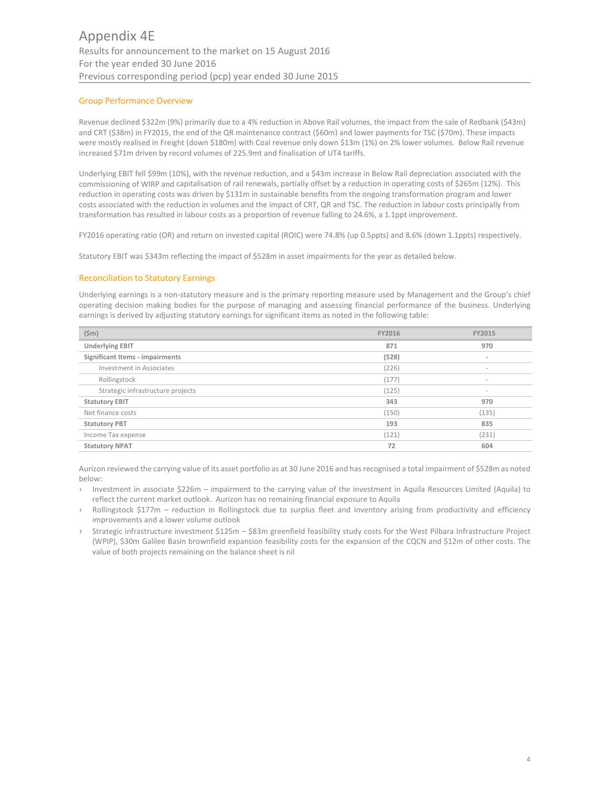# Group Performance Overview

Revenue declined \$322m (9%) primarily due to a 4% reduction in Above Rail volumes, the impact from the sale of Redbank (\$43m) and CRT (\$38m) in FY2015, the end of the QR maintenance contract (\$60m) and lower payments for TSC (\$70m). These impacts were mostly realised in Freight (down \$180m) with Coal revenue only down \$13m (1%) on 2% lower volumes. Below Rail revenue increased \$71m driven by record volumes of 225.9mt and finalisation of UT4 tariffs.

Underlying EBIT fell \$99m (10%), with the revenue reduction, and a \$43m increase in Below Rail depreciation associated with the commissioning of WIRP and capitalisation of rail renewals, partially offset by a reduction in operating costs of \$265m (12%). This reduction in operating costs was driven by \$131m in sustainable benefits from the ongoing transformation program and lower costs associated with the reduction in volumes and the impact of CRT, QR and TSC. The reduction in labour costs principally from transformation has resulted in labour costs as a proportion of revenue falling to 24.6%, a 1.1ppt improvement.

FY2016 operating ratio (OR) and return on invested capital (ROIC) were 74.8% (up 0.5ppts) and 8.6% (down 1.1ppts) respectively.

Statutory EBIT was \$343m reflecting the impact of \$528m in asset impairments for the year as detailed below.

# Reconciliation to Statutory Earnings

Underlying earnings is a non‐statutory measure and is the primary reporting measure used by Management and the Group's chief operating decision making bodies for the purpose of managing and assessing financial performance of the business. Underlying earnings is derived by adjusting statutory earnings for significant items as noted in the following table:

| (Sm)                              | FY2016 | <b>FY2015</b>            |
|-----------------------------------|--------|--------------------------|
| <b>Underlying EBIT</b>            | 871    | 970                      |
| Significant Items - impairments   | (528)  | $\overline{\phantom{a}}$ |
| Investment in Associates          | (226)  | $\sim$                   |
| Rollingstock                      | (177)  | $\sim$                   |
| Strategic infrastructure projects | (125)  | $\sim$                   |
| <b>Statutory EBIT</b>             | 343    | 970                      |
| Net finance costs                 | (150)  | (135)                    |
| <b>Statutory PBT</b>              | 193    | 835                      |
| Income Tax expense                | (121)  | (231)                    |
| <b>Statutory NPAT</b>             | 72     | 604                      |

Aurizon reviewed the carrying value of its asset portfolio as at 30 June 2016 and hasrecognised a total impairment of \$528m as noted below:

- › Investment in associate \$226m impairment to the carrying value of the investment in Aquila Resources Limited (Aquila) to reflect the current market outlook. Aurizon has no remaining financial exposure to Aquila
- Rollingstock \$177m reduction in Rollingstock due to surplus fleet and inventory arising from productivity and efficiency improvements and a lower volume outlook
- Strategic infrastructure investment \$125m \$83m greenfield feasibility study costs for the West Pilbara Infrastructure Project (WPIP), \$30m Galilee Basin brownfield expansion feasibility costs for the expansion of the CQCN and \$12m of other costs. The value of both projects remaining on the balance sheet is nil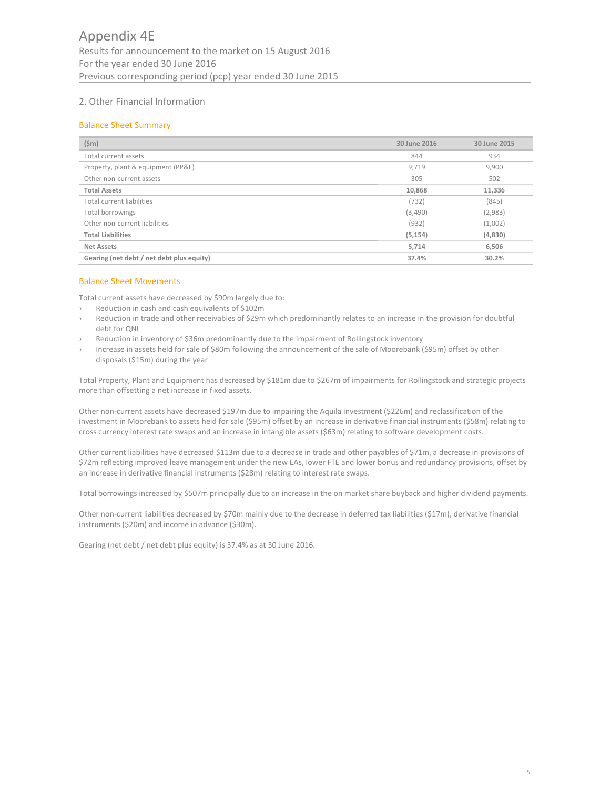# 2. Other Financial Information

# Balance Sheet Summary

| (Sm)                                      | 30 June 2016 | 30 June 2015 |
|-------------------------------------------|--------------|--------------|
| Total current assets                      | 844          | 934          |
| Property, plant & equipment (PP&E)        | 9,719        | 9,900        |
| Other non-current assets                  | 305          | 502          |
| <b>Total Assets</b>                       | 10,868       | 11,336       |
| Total current liabilities                 | (732)        | (845)        |
| Total borrowings                          | (3,490)      | (2,983)      |
| Other non-current liabilities             | (932)        | (1,002)      |
| <b>Total Liabilities</b>                  | (5, 154)     | (4,830)      |
| Net Assets                                | 5,714        | 6,506        |
| Gearing (net debt / net debt plus equity) | 37.4%        | 30.2%        |

# Balance Sheet Movements

Total current assets have decreased by \$90m largely due to:

- › Reduction in cash and cash equivalents of \$102m
- Reduction in trade and other receivables of \$29m which predominantly relates to an increase in the provision for doubtful debt for QNI
- Reduction in inventory of \$36m predominantly due to the impairment of Rollingstock inventory
- Increase in assets held for sale of \$80m following the announcement of the sale of Moorebank (\$95m) offset by other disposals (\$15m) during the year

Total Property, Plant and Equipment has decreased by \$181m due to \$267m of impairments for Rollingstock and strategic projects more than offsetting a net increase in fixed assets.

Other non‐current assets have decreased \$197m due to impairing the Aquila investment (\$226m) and reclassification of the investment in Moorebank to assets held for sale (\$95m) offset by an increase in derivative financial instruments (\$58m) relating to cross currency interest rate swaps and an increase in intangible assets (\$63m) relating to software development costs.

Other current liabilities have decreased \$113m due to a decrease in trade and other payables of \$71m, a decrease in provisions of \$72m reflecting improved leave management under the new EAs, lower FTE and lower bonus and redundancy provisions, offset by an increase in derivative financial instruments (\$28m) relating to interest rate swaps.

Total borrowings increased by \$507m principally due to an increase in the on market share buyback and higher dividend payments.

Other non‐current liabilities decreased by \$70m mainly due to the decrease in deferred tax liabilities (\$17m), derivative financial instruments (\$20m) and income in advance (\$30m).

Gearing (net debt / net debt plus equity) is 37.4% as at 30 June 2016.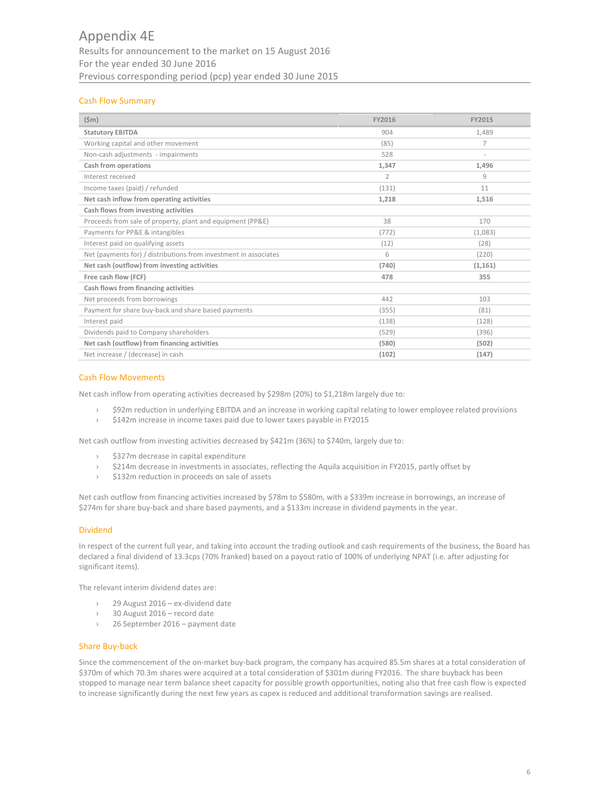# Appendix 4E Results for announcement to the market on 15 August 2016 For the year ended 30 June 2016 Previous corresponding period (pcp) year ended 30 June 2015

# Cash Flow Summary

| $(\$m)$                                                          | FY2016         | FY2015         |
|------------------------------------------------------------------|----------------|----------------|
| <b>Statutory EBITDA</b>                                          | 904            | 1,489          |
| Working capital and other movement                               | (85)           | $\overline{7}$ |
| Non-cash adjustments - impairments                               | 528            | $\sim$         |
| Cash from operations                                             | 1,347          | 1,496          |
| Interest received                                                | $\overline{2}$ | 9              |
| Income taxes (paid) / refunded                                   | (131)          | 11             |
| Net cash inflow from operating activities                        | 1,218          | 1,516          |
| Cash flows from investing activities                             |                |                |
| Proceeds from sale of property, plant and equipment (PP&E)       | 38             | 170            |
| Payments for PP&E & intangibles                                  | (772)          | (1,083)        |
| Interest paid on qualifying assets                               | (12)           | (28)           |
| Net (payments for) / distributions from investment in associates | 6              | (220)          |
| Net cash (outflow) from investing activities                     | (740)          | (1, 161)       |
| Free cash flow (FCF)                                             | 478            | 355            |
| Cash flows from financing activities                             |                |                |
| Net proceeds from borrowings                                     | 442            | 103            |
| Payment for share buy-back and share based payments              | (355)          | (81)           |
| Interest paid                                                    | (138)          | (128)          |
| Dividends paid to Company shareholders                           | (529)          | (396)          |
| Net cash (outflow) from financing activities                     | (580)          | (502)          |
| Net increase / (decrease) in cash                                | (102)          | (147)          |

# Cash Flow Movements

Net cash inflow from operating activities decreased by \$298m (20%) to \$1,218m largely due to:

- › \$92m reduction in underlying EBITDA and an increase in working capital relating to lower employee related provisions
- › \$142m increase in income taxes paid due to lower taxes payable in FY2015

Net cash outflow from investing activities decreased by \$421m (36%) to \$740m, largely due to:

- › \$327m decrease in capital expenditure
- › \$214m decrease in investments in associates, reflecting the Aquila acquisition in FY2015, partly offset by
- › \$132m reduction in proceeds on sale of assets

Net cash outflow from financing activities increased by \$78m to \$580m, with a \$339m increase in borrowings, an increase of \$274m for share buy‐back and share based payments, and a \$133m increase in dividend payments in the year.

# Dividend

In respect of the current full year, and taking into account the trading outlook and cash requirements of the business, the Board has declared a final dividend of 13.3cps (70% franked) based on a payout ratio of 100% of underlying NPAT (i.e. after adjusting for significant items).

The relevant interim dividend dates are:

- 29 August 2016 ex-dividend date
- › 30 August 2016 record date
- › 26 September 2016 payment date

## Share Buy‐back

Since the commencement of the on-market buy-back program, the company has acquired 85.5m shares at a total consideration of \$370m of which 70.3m shares were acquired at a total consideration of \$301m during FY2016. The share buyback has been stopped to manage near term balance sheet capacity for possible growth opportunities, noting also that free cash flow is expected to increase significantly during the next few years as capex is reduced and additional transformation savings are realised.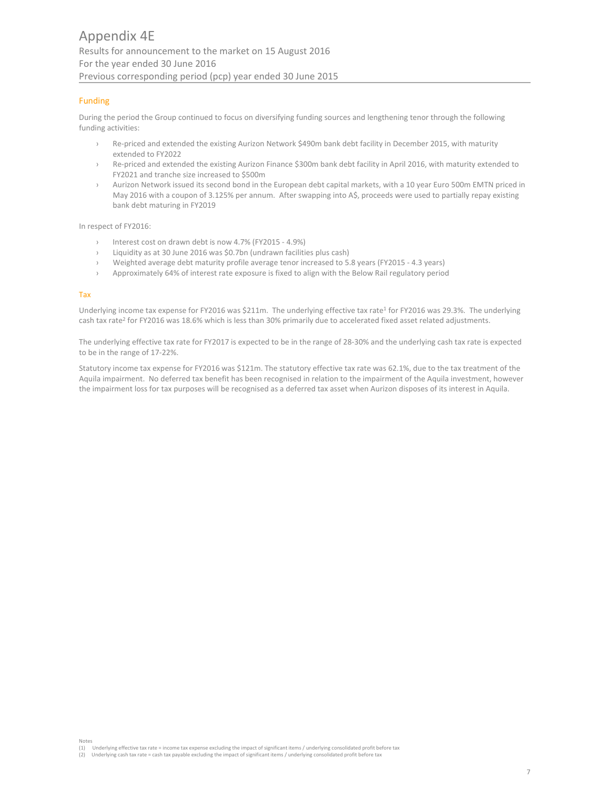# Funding

During the period the Group continued to focus on diversifying funding sources and lengthening tenor through the following funding activities:

- Re-priced and extended the existing Aurizon Network \$490m bank debt facility in December 2015, with maturity extended to FY2022
- Re-priced and extended the existing Aurizon Finance \$300m bank debt facility in April 2016, with maturity extended to FY2021 and tranche size increased to \$500m
- > Aurizon Network issued its second bond in the European debt capital markets, with a 10 year Euro 500m EMTN priced in May 2016 with a coupon of 3.125% per annum. After swapping into A\$, proceeds were used to partially repay existing bank debt maturing in FY2019

In respect of FY2016:

- Interest cost on drawn debt is now 4.7% (FY2015 4.9%)
- Liquidity as at 30 June 2016 was \$0.7bn (undrawn facilities plus cash)
- › Weighted average debt maturity profile average tenor increased to 5.8 years (FY2015 ‐ 4.3 years)
- Approximately 64% of interest rate exposure is fixed to align with the Below Rail regulatory period

#### Tax

Underlying income tax expense for FY2016 was \$211m. The underlying effective tax rate<sup>1</sup> for FY2016 was 29.3%. The underlying cash tax rate<sup>2</sup> for FY2016 was 18.6% which is less than 30% primarily due to accelerated fixed asset related adjustments.

The underlying effective tax rate for FY2017 is expected to be in the range of 28‐30% and the underlying cash tax rate is expected to be in the range of 17‐22%.

Statutory income tax expense for FY2016 was \$121m. The statutory effective tax rate was 62.1%, due to the tax treatment of the Aquila impairment. No deferred tax benefit has been recognised in relation to the impairment of the Aquila investment, however the impairment loss for tax purposes will be recognised as a deferred tax asset when Aurizon disposes of its interest in Aquila.

Notes (1) Underlying effective tax rate = income tax expense excluding the impact of significant items / underlying consolidated profit before tax

<sup>(2)</sup> Underlying cash tax rate = cash tax payable excluding the impact of significant items / underlying consolidated profit before tax<br>(2) Underlying cash tax rate = cash tax payable excluding the impact of significant item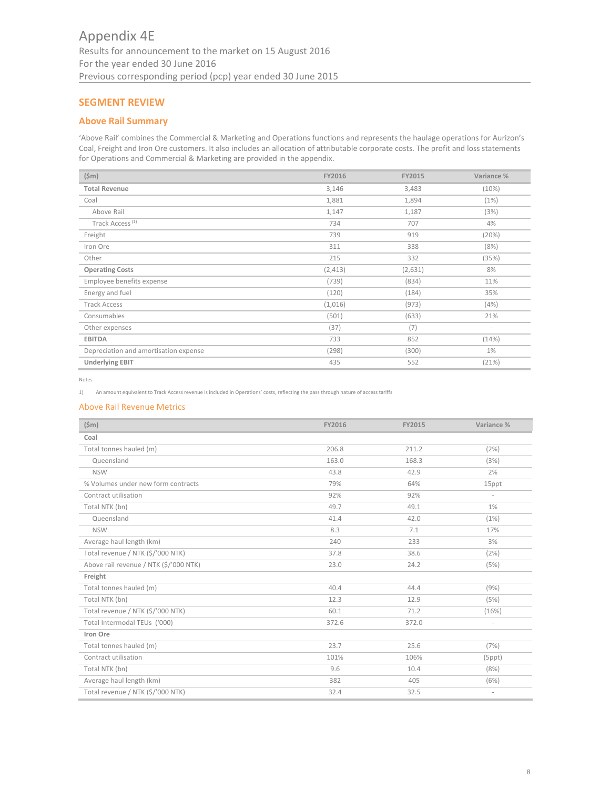# **SEGMENT REVIEW**

# **Above Rail Summary**

'Above Rail' combines the Commercial & Marketing and Operations functions and represents the haulage operations for Aurizon's Coal, Freight and Iron Ore customers. It also includes an allocation of attributable corporate costs. The profit and loss statements for Operations and Commercial & Marketing are provided in the appendix.

| $(\$m)$                               | FY2016   | FY2015  | Variance % |
|---------------------------------------|----------|---------|------------|
| <b>Total Revenue</b>                  | 3,146    | 3,483   | (10%)      |
| Coal                                  | 1,881    | 1,894   | (1%)       |
| Above Rail                            | 1,147    | 1,187   | (3%)       |
| Track Access <sup>(1)</sup>           | 734      | 707     | 4%         |
| Freight                               | 739      | 919     | (20%)      |
| Iron Ore                              | 311      | 338     | (8%)       |
| Other                                 | 215      | 332     | (35%)      |
| <b>Operating Costs</b>                | (2, 413) | (2,631) | 8%         |
| Employee benefits expense             | (739)    | (834)   | 11%        |
| Energy and fuel                       | (120)    | (184)   | 35%        |
| <b>Track Access</b>                   | (1,016)  | (973)   | (4%)       |
| Consumables                           | (501)    | (633)   | 21%        |
| Other expenses                        | (37)     | (7)     | $\sim$     |
| <b>EBITDA</b>                         | 733      | 852     | (14%)      |
| Depreciation and amortisation expense | (298)    | (300)   | 1%         |
| <b>Underlying EBIT</b>                | 435      | 552     | (21%)      |

Notes

1) An amount equivalent to Track Access revenue is included in Operations' costs, reflecting the pass through nature of access tariffs

## Above Rail Revenue Metrics

| $(\$m)$                                | FY2016 | FY2015 | Variance %               |
|----------------------------------------|--------|--------|--------------------------|
| Coal                                   |        |        |                          |
| Total tonnes hauled (m)                | 206.8  | 211.2  | (2%)                     |
| Queensland                             | 163.0  | 168.3  | (3%)                     |
| <b>NSW</b>                             | 43.8   | 42.9   | 2%                       |
| % Volumes under new form contracts     | 79%    | 64%    | 15ppt                    |
| Contract utilisation                   | 92%    | 92%    | $\overline{\phantom{a}}$ |
| Total NTK (bn)                         | 49.7   | 49.1   | 1%                       |
| Queensland                             | 41.4   | 42.0   | (1%)                     |
| <b>NSW</b>                             | 8.3    | 7.1    | 17%                      |
| Average haul length (km)               | 240    | 233    | 3%                       |
| Total revenue / NTK (\$/'000 NTK)      | 37.8   | 38.6   | (2%)                     |
| Above rail revenue / NTK (\$/'000 NTK) | 23.0   | 24.2   | (5%)                     |
| Freight                                |        |        |                          |
| Total tonnes hauled (m)                | 40.4   | 44.4   | (9%)                     |
| Total NTK (bn)                         | 12.3   | 12.9   | (5%)                     |
| Total revenue / NTK (\$/'000 NTK)      | 60.1   | 71.2   | (16%)                    |
| Total Intermodal TEUs ('000)           | 372.6  | 372.0  | $\overline{\phantom{a}}$ |
| Iron Ore                               |        |        |                          |
| Total tonnes hauled (m)                | 23.7   | 25.6   | (7%)                     |
| Contract utilisation                   | 101%   | 106%   | $(5$ ppt $)$             |
| Total NTK (bn)                         | 9.6    | 10.4   | (8%)                     |
| Average haul length (km)               | 382    | 405    | (6%)                     |
| Total revenue / NTK (\$/'000 NTK)      | 32.4   | 32.5   | $\overline{\phantom{a}}$ |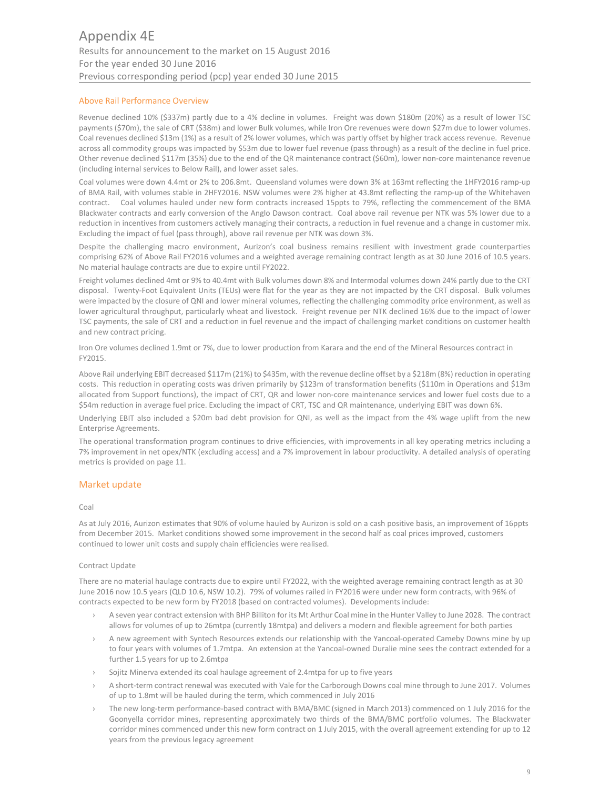# Above Rail Performance Overview

Revenue declined 10% (\$337m) partly due to a 4% decline in volumes. Freight was down \$180m (20%) as a result of lower TSC payments (\$70m), the sale of CRT (\$38m) and lower Bulk volumes, while Iron Ore revenues were down \$27m due to lower volumes. Coal revenues declined \$13m (1%) as a result of 2% lower volumes, which was partly offset by higher track access revenue. Revenue across all commodity groups was impacted by \$53m due to lower fuel revenue (pass through) as a result of the decline in fuel price. Other revenue declined \$117m (35%) due to the end of the QR maintenance contract (\$60m), lower non‐core maintenance revenue (including internal services to Below Rail), and lower asset sales.

Coal volumes were down 4.4mt or 2% to 206.8mt. Queensland volumes were down 3% at 163mt reflecting the 1HFY2016 ramp‐up of BMA Rail, with volumes stable in 2HFY2016. NSW volumes were 2% higher at 43.8mt reflecting the ramp‐up of the Whitehaven contract. Coal volumes hauled under new form contracts increased 15ppts to 79%, reflecting the commencement of the BMA Blackwater contracts and early conversion of the Anglo Dawson contract. Coal above rail revenue per NTK was 5% lower due to a reduction in incentives from customers actively managing their contracts, a reduction in fuel revenue and a change in customer mix. Excluding the impact of fuel (pass through), above rail revenue per NTK was down 3%.

Despite the challenging macro environment, Aurizon's coal business remains resilient with investment grade counterparties comprising 62% of Above Rail FY2016 volumes and a weighted average remaining contract length as at 30 June 2016 of 10.5 years. No material haulage contracts are due to expire until FY2022.

Freight volumes declined 4mt or 9% to 40.4mt with Bulk volumes down 8% and Intermodal volumes down 24% partly due to the CRT disposal. Twenty‐Foot Equivalent Units (TEUs) were flat for the year as they are not impacted by the CRT disposal. Bulk volumes were impacted by the closure of QNI and lower mineral volumes, reflecting the challenging commodity price environment, as well as lower agricultural throughput, particularly wheat and livestock. Freight revenue per NTK declined 16% due to the impact of lower TSC payments, the sale of CRT and a reduction in fuel revenue and the impact of challenging market conditions on customer health and new contract pricing.

Iron Ore volumes declined 1.9mt or 7%, due to lower production from Karara and the end of the Mineral Resources contract in FY2015.

Above Rail underlying EBIT decreased \$117m (21%) to \$435m, with the revenue decline offset by a \$218m (8%) reduction in operating costs. This reduction in operating costs was driven primarily by \$123m of transformation benefits (\$110m in Operations and \$13m allocated from Support functions), the impact of CRT, QR and lower non-core maintenance services and lower fuel costs due to a \$54m reduction in average fuel price. Excluding the impact of CRT, TSC and QR maintenance, underlying EBIT was down 6%.

Underlying EBIT also included a \$20m bad debt provision for QNI, as well as the impact from the 4% wage uplift from the new Enterprise Agreements.

The operational transformation program continues to drive efficiencies, with improvements in all key operating metrics including a 7% improvement in net opex/NTK (excluding access) and a 7% improvement in labour productivity. A detailed analysis of operating metrics is provided on page 11.

# Market update

## Coal

As at July 2016, Aurizon estimates that 90% of volume hauled by Aurizon is sold on a cash positive basis, an improvement of 16ppts from December 2015. Market conditions showed some improvement in the second half as coal prices improved, customers continued to lower unit costs and supply chain efficiencies were realised.

## Contract Update

There are no material haulage contracts due to expire until FY2022, with the weighted average remaining contract length as at 30 June 2016 now 10.5 years (QLD 10.6, NSW 10.2). 79% of volumes railed in FY2016 were under new form contracts, with 96% of contracts expected to be new form by FY2018 (based on contracted volumes). Developments include:

- A seven year contract extension with BHP Billiton for its Mt Arthur Coal mine in the Hunter Valley to June 2028. The contract allows for volumes of up to 26mtpa (currently 18mtpa) and delivers a modern and flexible agreement for both parties
- › A new agreement with Syntech Resources extends our relationship with the Yancoal‐operated Cameby Downs mine by up to four years with volumes of 1.7mtpa. An extension at the Yancoal-owned Duralie mine sees the contract extended for a further 1.5 years for up to 2.6mtpa
- Sojitz Minerva extended its coal haulage agreement of 2.4mtpa for up to five years
- A short-term contract renewal was executed with Vale for the Carborough Downs coal mine through to June 2017. Volumes of up to 1.8mt will be hauled during the term, which commenced in July 2016
- The new long-term performance-based contract with BMA/BMC (signed in March 2013) commenced on 1 July 2016 for the Goonyella corridor mines, representing approximately two thirds of the BMA/BMC portfolio volumes. The Blackwater corridor mines commenced under this new form contract on 1 July 2015, with the overall agreement extending for up to 12 years from the previous legacy agreement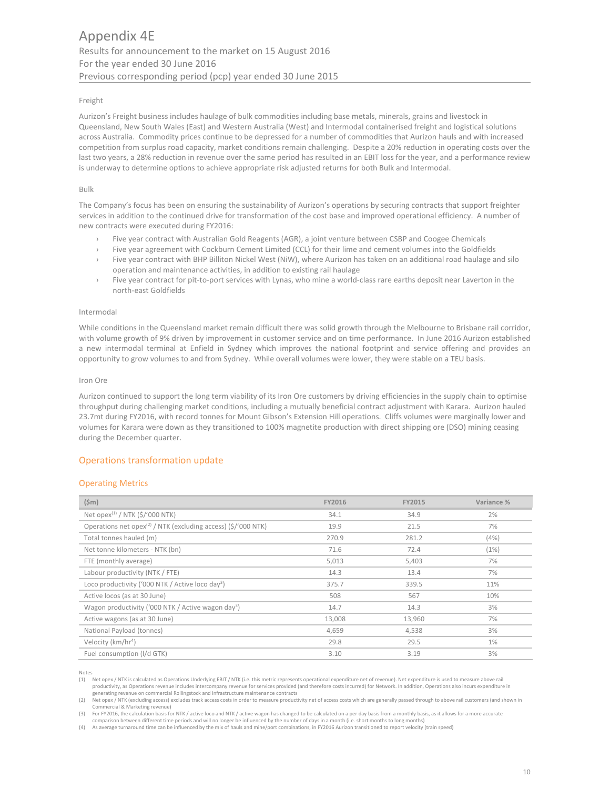#### Freight

Aurizon's Freight business includes haulage of bulk commodities including base metals, minerals, grains and livestock in Queensland, New South Wales (East) and Western Australia (West) and Intermodal containerised freight and logistical solutions across Australia. Commodity prices continue to be depressed for a number of commodities that Aurizon hauls and with increased competition from surplus road capacity, market conditions remain challenging. Despite a 20% reduction in operating costs over the last two years, a 28% reduction in revenue over the same period has resulted in an EBIT loss for the year, and a performance review is underway to determine options to achieve appropriate risk adjusted returns for both Bulk and Intermodal.

#### Bulk

The Company's focus has been on ensuring the sustainability of Aurizon's operations by securing contracts that support freighter services in addition to the continued drive for transformation of the cost base and improved operational efficiency. A number of new contracts were executed during FY2016:

- Five year contract with Australian Gold Reagents (AGR), a joint venture between CSBP and Coogee Chemicals
- Five year agreement with Cockburn Cement Limited (CCL) for their lime and cement volumes into the Goldfields
- Five year contract with BHP Billiton Nickel West (NiW), where Aurizon has taken on an additional road haulage and silo operation and maintenance activities, in addition to existing rail haulage
- › Five year contract for pit‐to‐port services with Lynas, who mine a world‐class rare earths deposit near Laverton in the north‐east Goldfields

#### Intermodal

While conditions in the Queensland market remain difficult there was solid growth through the Melbourne to Brisbane rail corridor, with volume growth of 9% driven by improvement in customer service and on time performance. In June 2016 Aurizon established a new intermodal terminal at Enfield in Sydney which improves the national footprint and service offering and provides an opportunity to grow volumes to and from Sydney. While overall volumes were lower, they were stable on a TEU basis.

#### Iron Ore

Aurizon continued to support the long term viability of its Iron Ore customers by driving efficiencies in the supply chain to optimise throughput during challenging market conditions, including a mutually beneficial contract adjustment with Karara. Aurizon hauled 23.7mt during FY2016, with record tonnes for Mount Gibson's Extension Hill operations. Cliffs volumes were marginally lower and volumes for Karara were down as they transitioned to 100% magnetite production with direct shipping ore (DSO) mining ceasing during the December quarter.

# Operations transformation update

## Operating Metrics

| $(\$m)$                                                                   | FY2016 | <b>FY2015</b> | Variance % |
|---------------------------------------------------------------------------|--------|---------------|------------|
| Net opex <sup>(1)</sup> / NTK (\$/'000 NTK)                               | 34.1   | 34.9          | 2%         |
| Operations net opex <sup>(2)</sup> / NTK (excluding access) (\$/'000 NTK) | 19.9   | 21.5          | 7%         |
| Total tonnes hauled (m)                                                   | 270.9  | 281.2         | (4%)       |
| Net tonne kilometers - NTK (bn)                                           | 71.6   | 72.4          | (1%)       |
| FTE (monthly average)                                                     | 5,013  | 5,403         | 7%         |
| Labour productivity (NTK / FTE)                                           | 14.3   | 13.4          | 7%         |
| Loco productivity ('000 NTK / Active loco day <sup>3</sup> )              | 375.7  | 339.5         | 11%        |
| Active locos (as at 30 June)                                              | 508    | 567           | 10%        |
| Wagon productivity ('000 NTK / Active wagon day <sup>3</sup> )            | 14.7   | 14.3          | 3%         |
| Active wagons (as at 30 June)                                             | 13,008 | 13,960        | 7%         |
| National Payload (tonnes)                                                 | 4,659  | 4,538         | 3%         |
| Velocity (km/hr <sup>4</sup> )                                            | 29.8   | 29.5          | 1%         |
| Fuel consumption (I/d GTK)                                                | 3.10   | 3.19          | 3%         |

Notes<br>(1) Net opex / NTK is calculated as Operations Underlying EBIT / NTK (i.e. this metric represents operational expenditure net of revenue). Net expenditure is used to measure above rail productivity, as Operations revenue includes intercompany revenue for services provided (and therefore costs incurred) for Network. In addition, Operations also incurs expenditure in generating revenue on commercial Rollingstock and infrastructure maintenance contracts

(2) Net opex / NTK (excluding access) excludes track access costs in order to measure productivity net of access costs which are generally passed through to above rail customers (and shown in ercial & Marketing revenue)

3) For FY2016, the calculation basis for NTK / active loco and NTK / active wagon has changed to be calculated on a per day basis from a monthly basis, as it allows for a more accurate<br>comparison between different time per

(4) As average turnaround time can be influenced by the mix of hauls and mine/port combinations, in FY2016 Aurizon transitioned to report velocity (train speed)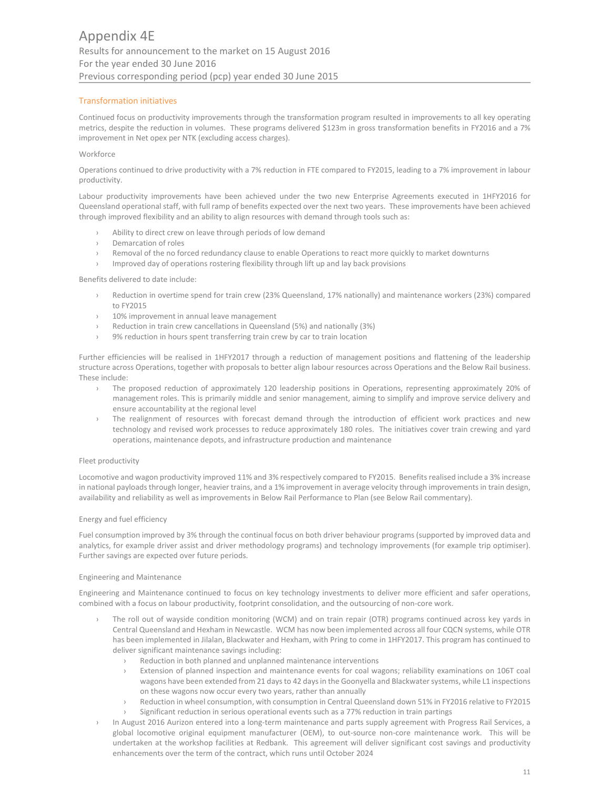# Transformation initiatives

Continued focus on productivity improvements through the transformation program resulted in improvements to all key operating metrics, despite the reduction in volumes. These programs delivered \$123m in gross transformation benefits in FY2016 and a 7% improvement in Net opex per NTK (excluding access charges).

#### **Workforce**

Operations continued to drive productivity with a 7% reduction in FTE compared to FY2015, leading to a 7% improvement in labour productivity.

Labour productivity improvements have been achieved under the two new Enterprise Agreements executed in 1HFY2016 for Queensland operational staff, with full ramp of benefits expected over the next two years. These improvements have been achieved through improved flexibility and an ability to align resources with demand through tools such as:

- › Ability to direct crew on leave through periods of low demand
- › Demarcation of roles
- › Removal of the no forced redundancy clause to enable Operations to react more quickly to market downturns
- › Improved day of operations rostering flexibility through lift up and lay back provisions

Benefits delivered to date include:

- › Reduction in overtime spend for train crew (23% Queensland, 17% nationally) and maintenance workers (23%) compared to FY2015
- › 10% improvement in annual leave management
- › Reduction in train crew cancellations in Queensland (5%) and nationally (3%)
- › 9% reduction in hours spent transferring train crew by car to train location

Further efficiencies will be realised in 1HFY2017 through a reduction of management positions and flattening of the leadership structure across Operations, together with proposals to better align labour resources across Operations and the Below Rail business. These include:

- › The proposed reduction of approximately 120 leadership positions in Operations, representing approximately 20% of management roles. This is primarily middle and senior management, aiming to simplify and improve service delivery and ensure accountability at the regional level
- The realignment of resources with forecast demand through the introduction of efficient work practices and new technology and revised work processes to reduce approximately 180 roles. The initiatives cover train crewing and yard operations, maintenance depots, and infrastructure production and maintenance

#### Fleet productivity

Locomotive and wagon productivity improved 11% and 3% respectively compared to FY2015. Benefits realised include a 3% increase in national payloads through longer, heavier trains, and a 1% improvement in average velocity through improvements in train design, availability and reliability as well as improvements in Below Rail Performance to Plan (see Below Rail commentary).

## Energy and fuel efficiency

Fuel consumption improved by 3% through the continual focus on both driver behaviour programs (supported by improved data and analytics, for example driver assist and driver methodology programs) and technology improvements (for example trip optimiser). Further savings are expected over future periods.

#### Engineering and Maintenance

Engineering and Maintenance continued to focus on key technology investments to deliver more efficient and safer operations, combined with a focus on labour productivity, footprint consolidation, and the outsourcing of non-core work.

- The roll out of wayside condition monitoring (WCM) and on train repair (OTR) programs continued across key yards in Central Queensland and Hexham in Newcastle. WCM has now been implemented across all four CQCN systems, while OTR has been implemented in Jilalan, Blackwater and Hexham, with Pring to come in 1HFY2017. This program has continued to deliver significant maintenance savings including:
	- › Reduction in both planned and unplanned maintenance interventions
	- Extension of planned inspection and maintenance events for coal wagons; reliability examinations on 106T coal wagons have been extended from 21 days to 42 days in the Goonyella and Blackwater systems, while L1 inspections on these wagons now occur every two years, rather than annually
	- Reduction in wheel consumption, with consumption in Central Queensland down 51% in FY2016 relative to FY2015
	- Significant reduction in serious operational events such as a 77% reduction in train partings
- In August 2016 Aurizon entered into a long-term maintenance and parts supply agreement with Progress Rail Services, a global locomotive original equipment manufacturer (OEM), to out-source non-core maintenance work. This will be undertaken at the workshop facilities at Redbank. This agreement will deliver significant cost savings and productivity enhancements over the term of the contract, which runs until October 2024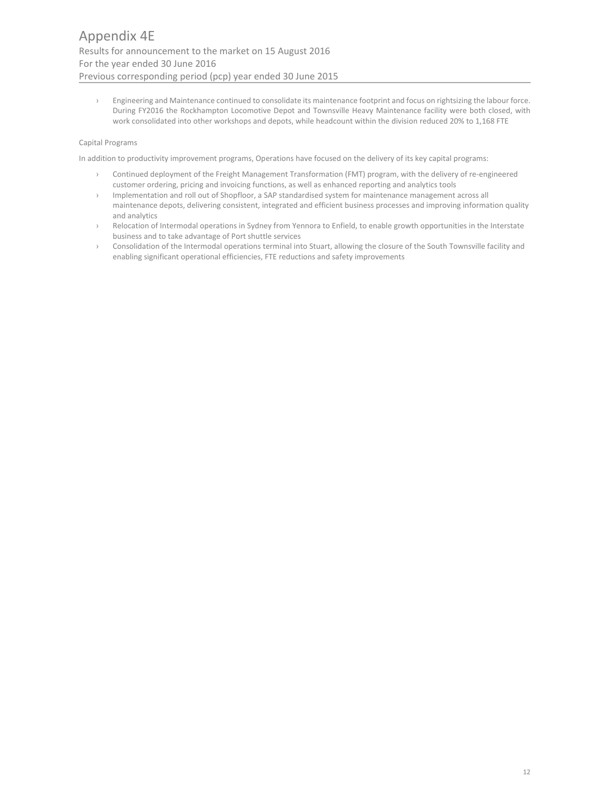› Engineering and Maintenance continued to consolidate its maintenance footprint and focus on rightsizing the labour force. During FY2016 the Rockhampton Locomotive Depot and Townsville Heavy Maintenance facility were both closed, with work consolidated into other workshops and depots, while headcount within the division reduced 20% to 1,168 FTE

# Capital Programs

In addition to productivity improvement programs, Operations have focused on the delivery of its key capital programs:

- › Continued deployment of the Freight Management Transformation (FMT) program, with the delivery of re‐engineered customer ordering, pricing and invoicing functions, as well as enhanced reporting and analytics tools
- › Implementation and roll out of Shopfloor, a SAP standardised system for maintenance management across all maintenance depots, delivering consistent, integrated and efficient business processes and improving information quality and analytics
- Relocation of Intermodal operations in Sydney from Yennora to Enfield, to enable growth opportunities in the Interstate business and to take advantage of Port shuttle services
- Consolidation of the Intermodal operations terminal into Stuart, allowing the closure of the South Townsville facility and enabling significant operational efficiencies, FTE reductions and safety improvements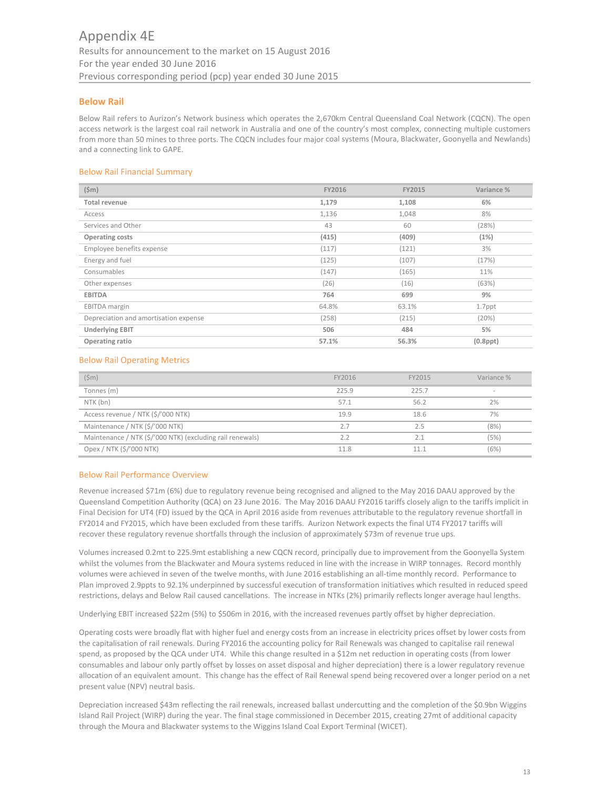# **Below Rail**

Below Rail refers to Aurizon's Network business which operates the 2,670km Central Queensland Coal Network (CQCN). The open access network is the largest coal rail network in Australia and one of the country's most complex, connecting multiple customers from more than 50 mines to three ports. The CQCN includes four major coal systems (Moura, Blackwater, Goonyella and Newlands) and a connecting link to GAPE.

# Below Rail Financial Summary

| $(\$m)$                               | FY2016 | FY2015 | Variance %     |
|---------------------------------------|--------|--------|----------------|
| Total revenue                         | 1,179  | 1,108  | 6%             |
| Access                                | 1,136  | 1,048  | 8%             |
| Services and Other                    | 43     | 60     | (28%)          |
| Operating costs                       | (415)  | (409)  | (1%)           |
| Employee benefits expense             | (117)  | (121)  | 3%             |
| Energy and fuel                       | (125)  | (107)  | (17%)          |
| Consumables                           | (147)  | (165)  | 11%            |
| Other expenses                        | (26)   | (16)   | (63%)          |
| <b>EBITDA</b>                         | 764    | 699    | 9%             |
| EBITDA margin                         | 64.8%  | 63.1%  | 1.7ppt         |
| Depreciation and amortisation expense | (258)  | (215)  | (20%)          |
| <b>Underlying EBIT</b>                | 506    | 484    | 5%             |
| Operating ratio                       | 57.1%  | 56.3%  | $(0.8$ ppt $)$ |

# Below Rail Operating Metrics

| $(\text{5m})$                                             | FY2016 | FY2015 | Variance % |
|-----------------------------------------------------------|--------|--------|------------|
| Tonnes (m)                                                | 225.9  | 225.7  | $\sim$     |
| NTK (bn)                                                  | 57.1   | 56.2   | 2%         |
| Access revenue / NTK (\$/'000 NTK)                        | 19.9   | 18.6   | 7%         |
| Maintenance / NTK (\$/'000 NTK)                           | 2.7    | 2.5    | (8%)       |
| Maintenance / NTK (\$/'000 NTK) (excluding rail renewals) | 2.2    | 2.1    | (5%)       |
| Opex / NTK (\$/'000 NTK)                                  | 11.8   | 11.1   | (6%)       |

## Below Rail Performance Overview

Revenue increased \$71m (6%) due to regulatory revenue being recognised and aligned to the May 2016 DAAU approved by the Queensland Competition Authority (QCA) on 23 June 2016. The May 2016 DAAU FY2016 tariffs closely align to the tariffs implicit in Final Decision for UT4 (FD) issued by the QCA in April 2016 aside from revenues attributable to the regulatory revenue shortfall in FY2014 and FY2015, which have been excluded from these tariffs. Aurizon Network expects the final UT4 FY2017 tariffs will recover these regulatory revenue shortfalls through the inclusion of approximately \$73m of revenue true ups.

Volumes increased 0.2mt to 225.9mt establishing a new CQCN record, principally due to improvement from the Goonyella System whilst the volumes from the Blackwater and Moura systems reduced in line with the increase in WIRP tonnages. Record monthly volumes were achieved in seven of the twelve months, with June 2016 establishing an all‐time monthly record. Performance to Plan improved 2.9ppts to 92.1% underpinned by successful execution of transformation initiatives which resulted in reduced speed restrictions, delays and Below Rail caused cancellations. The increase in NTKs (2%) primarily reflects longer average haul lengths.

Underlying EBIT increased \$22m (5%) to \$506m in 2016, with the increased revenues partly offset by higher depreciation.

Operating costs were broadly flat with higher fuel and energy costs from an increase in electricity prices offset by lower costs from the capitalisation of rail renewals. During FY2016 the accounting policy for Rail Renewals was changed to capitalise rail renewal spend, as proposed by the QCA under UT4. While this change resulted in a \$12m net reduction in operating costs (from lower consumables and labour only partly offset by losses on asset disposal and higher depreciation) there is a lower regulatory revenue allocation of an equivalent amount. This change has the effect of Rail Renewal spend being recovered over a longer period on a net present value (NPV) neutral basis.

Depreciation increased \$43m reflecting the rail renewals, increased ballast undercutting and the completion of the \$0.9bn Wiggins Island Rail Project (WIRP) during the year. The final stage commissioned in December 2015, creating 27mt of additional capacity through the Moura and Blackwater systems to the Wiggins Island Coal Export Terminal (WICET).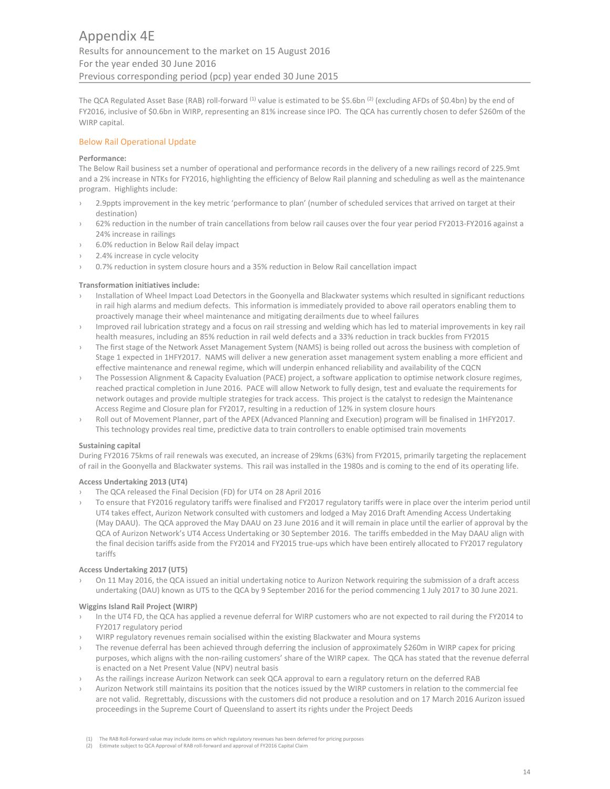The QCA Regulated Asset Base (RAB) roll-forward <sup>(1)</sup> value is estimated to be \$5.6bn <sup>(2)</sup> (excluding AFDs of \$0.4bn) by the end of FY2016, inclusive of \$0.6bn in WIRP, representing an 81% increase since IPO. The QCA has currently chosen to defer \$260m of the WIRP capital.

# Below Rail Operational Update

#### **Performance:**

The Below Rail business set a number of operational and performance records in the delivery of a new railings record of 225.9mt and a 2% increase in NTKs for FY2016, highlighting the efficiency of Below Rail planning and scheduling as well as the maintenance program. Highlights include:

- 2.9ppts improvement in the key metric 'performance to plan' (number of scheduled services that arrived on target at their destination)
- › 62% reduction in the number of train cancellations from below rail causes over the four year period FY2013‐FY2016 against a 24% increase in railings
- › 6.0% reduction in Below Rail delay impact
- 2.4% increase in cycle velocity
- 0.7% reduction in system closure hours and a 35% reduction in Below Rail cancellation impact

## **Transformation initiatives include:**

- Installation of Wheel Impact Load Detectors in the Goonyella and Blackwater systems which resulted in significant reductions in rail high alarms and medium defects. This information is immediately provided to above rail operators enabling them to proactively manage their wheel maintenance and mitigating derailments due to wheel failures
- › Improved rail lubrication strategy and a focus on rail stressing and welding which has led to material improvements in key rail health measures, including an 85% reduction in rail weld defects and a 33% reduction in track buckles from FY2015
- › The first stage of the Network Asset Management System (NAMS) is being rolled out across the business with completion of Stage 1 expected in 1HFY2017. NAMS will deliver a new generation asset management system enabling a more efficient and effective maintenance and renewal regime, which will underpin enhanced reliability and availability of the CQCN
- The Possession Alignment & Capacity Evaluation (PACE) project, a software application to optimise network closure regimes, reached practical completion in June 2016. PACE will allow Network to fully design, test and evaluate the requirements for network outages and provide multiple strategies for track access. This project is the catalyst to redesign the Maintenance Access Regime and Closure plan for FY2017, resulting in a reduction of 12% in system closure hours
- Roll out of Movement Planner, part of the APEX (Advanced Planning and Execution) program will be finalised in 1HFY2017. This technology provides real time, predictive data to train controllers to enable optimised train movements

#### **Sustaining capital**

During FY2016 75kms of rail renewals was executed, an increase of 29kms (63%) from FY2015, primarily targeting the replacement of rail in the Goonyella and Blackwater systems. This rail was installed in the 1980s and is coming to the end of its operating life.

#### **Access Undertaking 2013 (UT4)**

- The QCA released the Final Decision (FD) for UT4 on 28 April 2016
- To ensure that FY2016 regulatory tariffs were finalised and FY2017 regulatory tariffs were in place over the interim period until UT4 takes effect, Aurizon Network consulted with customers and lodged a May 2016 Draft Amending Access Undertaking (May DAAU). The QCA approved the May DAAU on 23 June 2016 and it will remain in place until the earlier of approval by the QCA of Aurizon Network's UT4 Access Undertaking or 30 September 2016. The tariffs embedded in the May DAAU align with the final decision tariffs aside from the FY2014 and FY2015 true-ups which have been entirely allocated to FY2017 regulatory tariffs

## **Access Undertaking 2017 (UT5)**

On 11 May 2016, the QCA issued an initial undertaking notice to Aurizon Network requiring the submission of a draft access undertaking (DAU) known as UT5 to the QCA by 9 September 2016 for the period commencing 1 July 2017 to 30 June 2021.

#### **Wiggins Island Rail Project (WIRP)**

- › In the UT4 FD, the QCA has applied a revenue deferral for WIRP customers who are not expected to rail during the FY2014 to FY2017 regulatory period
- › WIRP regulatory revenues remain socialised within the existing Blackwater and Moura systems
- The revenue deferral has been achieved through deferring the inclusion of approximately \$260m in WIRP capex for pricing purposes, which aligns with the non‐railing customers' share of the WIRP capex. The QCA has stated that the revenue deferral is enacted on a Net Present Value (NPV) neutral basis
- › As the railings increase Aurizon Network can seek QCA approval to earn a regulatory return on the deferred RAB
- Aurizon Network still maintains its position that the notices issued by the WIRP customers in relation to the commercial fee are not valid. Regrettably, discussions with the customers did not produce a resolution and on 17 March 2016 Aurizon issued proceedings in the Supreme Court of Queensland to assert its rights under the Project Deeds

<sup>(1)</sup> The RAB Roll‐forward value may include items on which regulatory revenues has been deferred for pricing purposes

<sup>(2)</sup> Estimate subject to QCA Approval of RAB roll‐forward and approval of FY2016 Capital Claim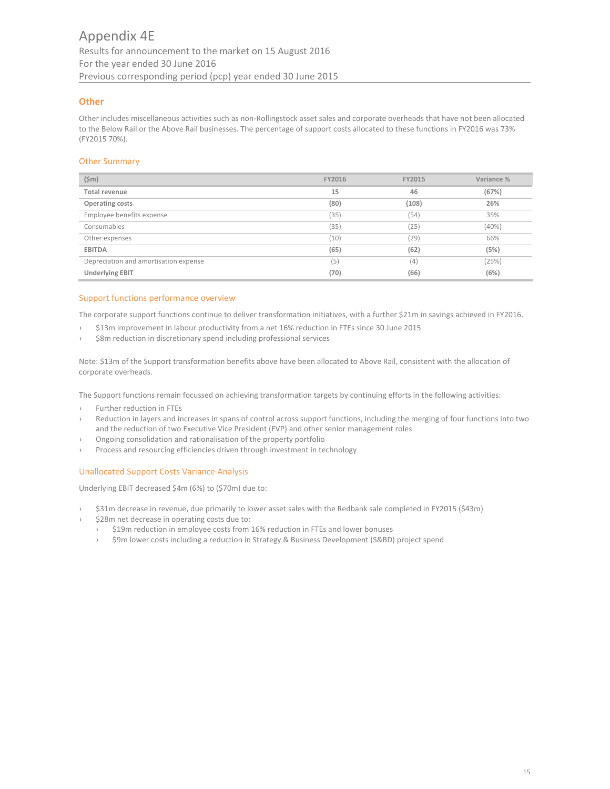# **Other**

Other includes miscellaneous activities such as non‐Rollingstock asset sales and corporate overheads that have not been allocated to the Below Rail or the Above Rail businesses. The percentage of support costs allocated to these functions in FY2016 was 73% (FY2015 70%).

# Other Summary

| $(\$m)$                               | FY2016 | <b>FY2015</b> | Variance % |
|---------------------------------------|--------|---------------|------------|
| <b>Total revenue</b>                  | 15     | 46            | (67%)      |
| Operating costs                       | (80)   | (108)         | 26%        |
| Employee benefits expense             | (35)   | (54)          | 35%        |
| Consumables                           | (35)   | (25)          | (40%)      |
| Other expenses                        | (10)   | (29)          | 66%        |
| <b>EBITDA</b>                         | (65)   | (62)          | (5%)       |
| Depreciation and amortisation expense | (5)    | (4)           | (25%)      |
| <b>Underlying EBIT</b>                | (70)   | (66)          | (6%)       |

## Support functions performance overview

The corporate support functions continue to deliver transformation initiatives, with a further \$21m in savings achieved in FY2016.

- › \$13m improvement in labour productivity from a net 16% reduction in FTEs since 30 June 2015
- \$8m reduction in discretionary spend including professional services

Note: \$13m of the Support transformation benefits above have been allocated to Above Rail, consistent with the allocation of corporate overheads.

The Support functions remain focussed on achieving transformation targets by continuing efforts in the following activities:

- › Further reduction in FTEs
- Reduction in layers and increases in spans of control across support functions, including the merging of four functions into two and the reduction of two Executive Vice President (EVP) and other senior management roles
- › Ongoing consolidation and rationalisation of the property portfolio
- Process and resourcing efficiencies driven through investment in technology

# Unallocated Support Costs Variance Analysis

Underlying EBIT decreased \$4m (6%) to (\$70m) due to:

- › \$31m decrease in revenue, due primarily to lower asset sales with the Redbank sale completed in FY2015 (\$43m)
- \$28m net decrease in operating costs due to:
	- › \$19m reduction in employee costs from 16% reduction in FTEs and lower bonuses
	- › \$9m lower costs including a reduction in Strategy & Business Development (S&BD) project spend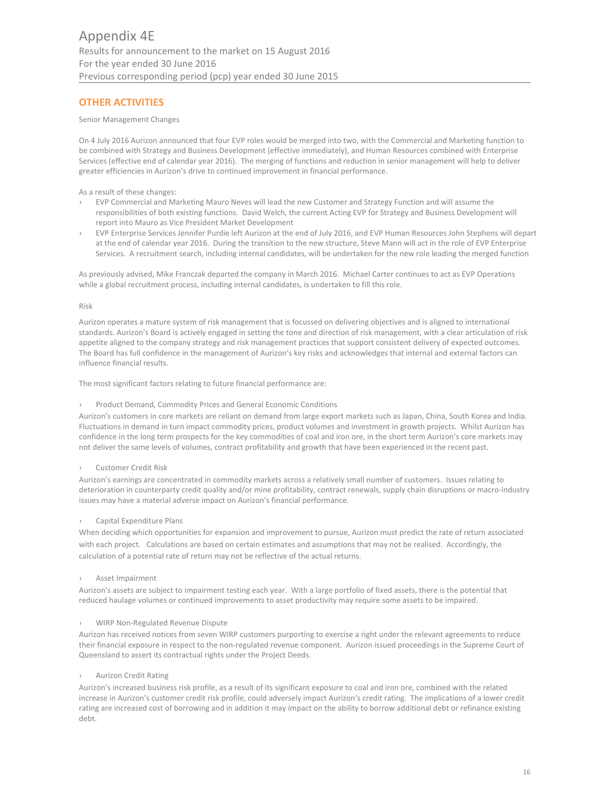# **OTHER ACTIVITIES**

## Senior Management Changes

On 4 July 2016 Aurizon announced that four EVP roles would be merged into two, with the Commercial and Marketing function to be combined with Strategy and Business Development (effective immediately), and Human Resources combined with Enterprise Services (effective end of calendar year 2016). The merging of functions and reduction in senior management will help to deliver greater efficiencies in Aurizon's drive to continued improvement in financial performance.

#### As a result of these changes:

- › EVP Commercial and Marketing Mauro Neves will lead the new Customer and Strategy Function and will assume the responsibilities of both existing functions. David Welch, the current Acting EVP for Strategy and Business Development will report into Mauro as Vice President Market Development
- EVP Enterprise Services Jennifer Purdie left Aurizon at the end of July 2016, and EVP Human Resources John Stephens will depart at the end of calendar year 2016. During the transition to the new structure, Steve Mann will act in the role of EVP Enterprise Services. A recruitment search, including internal candidates, will be undertaken for the new role leading the merged function

As previously advised, Mike Franczak departed the company in March 2016. Michael Carter continues to act as EVP Operations while a global recruitment process, including internal candidates, is undertaken to fill this role.

#### Risk

Aurizon operates a mature system of risk management that is focussed on delivering objectives and is aligned to international standards. Aurizon's Board is actively engaged in setting the tone and direction of risk management, with a clear articulation of risk appetite aligned to the company strategy and risk management practices that support consistent delivery of expected outcomes. The Board has full confidence in the management of Aurizon's key risks and acknowledges that internal and external factors can influence financial results.

The most significant factors relating to future financial performance are:

Product Demand, Commodity Prices and General Economic Conditions

Aurizon's customers in core markets are reliant on demand from large export markets such as Japan, China, South Korea and India. Fluctuations in demand in turn impact commodity prices, product volumes and investment in growth projects. Whilst Aurizon has confidence in the long term prospects for the key commodities of coal and iron ore, in the short term Aurizon's core markets may not deliver the same levels of volumes, contract profitability and growth that have been experienced in the recent past.

## › Customer Credit Risk

Aurizon's earnings are concentrated in commodity markets across a relatively small number of customers. Issues relating to deterioration in counterparty credit quality and/or mine profitability, contract renewals, supply chain disruptions or macro-industry issues may have a material adverse impact on Aurizon's financial performance.

## › Capital Expenditure Plans

When deciding which opportunities for expansion and improvement to pursue, Aurizon must predict the rate of return associated with each project. Calculations are based on certain estimates and assumptions that may not be realised. Accordingly, the calculation of a potential rate of return may not be reflective of the actual returns.

## › Asset Impairment

Aurizon's assets are subject to impairment testing each year. With a large portfolio of fixed assets, there is the potential that reduced haulage volumes or continued improvements to asset productivity may require some assets to be impaired.

#### WIRP Non-Regulated Revenue Dispute

Aurizon has received notices from seven WIRP customers purporting to exercise a right under the relevant agreements to reduce their financial exposure in respect to the non‐regulated revenue component. Aurizon issued proceedings in the Supreme Court of Queensland to assert its contractual rights under the Project Deeds.

## **Aurizon Credit Rating**

Aurizon's increased business risk profile, as a result of its significant exposure to coal and iron ore, combined with the related increase in Aurizon's customer credit risk profile, could adversely impact Aurizon's credit rating. The implications of a lower credit rating are increased cost of borrowing and in addition it may impact on the ability to borrow additional debt or refinance existing debt.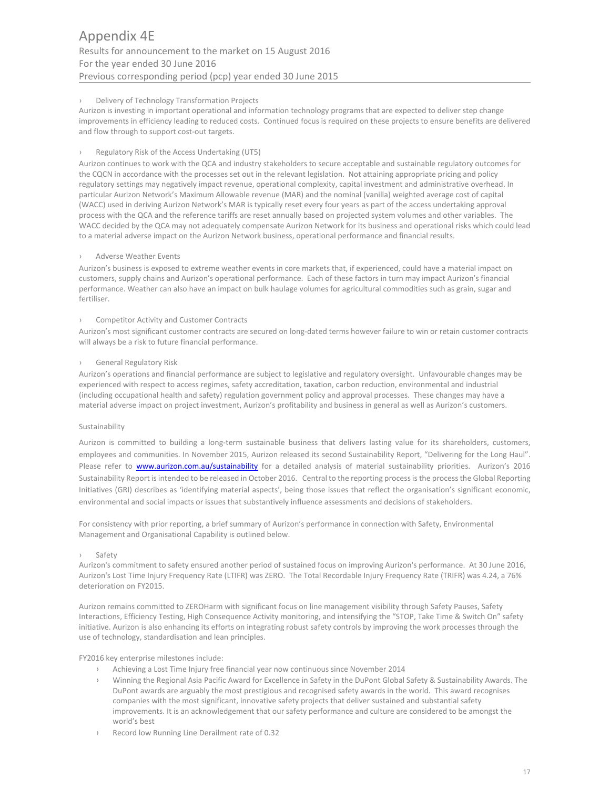# › Delivery of Technology Transformation Projects

Aurizon is investing in important operational and information technology programs that are expected to deliver step change improvements in efficiency leading to reduced costs. Continued focus is required on these projects to ensure benefits are delivered and flow through to support cost-out targets.

# Regulatory Risk of the Access Undertaking (UT5)

Aurizon continues to work with the QCA and industry stakeholders to secure acceptable and sustainable regulatory outcomes for the CQCN in accordance with the processes set out in the relevant legislation. Not attaining appropriate pricing and policy regulatory settings may negatively impact revenue, operational complexity, capital investment and administrative overhead. In particular Aurizon Network's Maximum Allowable revenue (MAR) and the nominal (vanilla) weighted average cost of capital (WACC) used in deriving Aurizon Network's MAR is typically reset every four years as part of the access undertaking approval process with the QCA and the reference tariffs are reset annually based on projected system volumes and other variables. The WACC decided by the QCA may not adequately compensate Aurizon Network for its business and operational risks which could lead to a material adverse impact on the Aurizon Network business, operational performance and financial results.

# Adverse Weather Events

Aurizon's business is exposed to extreme weather events in core markets that, if experienced, could have a material impact on customers, supply chains and Aurizon's operational performance. Each of these factors in turn may impact Aurizon's financial performance. Weather can also have an impact on bulk haulage volumes for agricultural commodities such as grain, sugar and fertiliser.

# Competitor Activity and Customer Contracts

Aurizon's most significant customer contracts are secured on long-dated terms however failure to win or retain customer contracts will always be a risk to future financial performance.

# › General Regulatory Risk

Aurizon's operations and financial performance are subject to legislative and regulatory oversight. Unfavourable changes may be experienced with respect to access regimes, safety accreditation, taxation, carbon reduction, environmental and industrial (including occupational health and safety) regulation government policy and approval processes. These changes may have a material adverse impact on project investment, Aurizon's profitability and business in general as well as Aurizon's customers.

## Sustainability

Aurizon is committed to building a long-term sustainable business that delivers lasting value for its shareholders, customers, employees and communities. In November 2015, Aurizon released its second Sustainability Report, "Delivering for the Long Haul". Please refer to **www.aurizon.com.au/sustainability** for a detailed analysis of material sustainability priorities. Aurizon's 2016 Sustainability Report is intended to be released in October 2016. Central to the reporting process is the process the Global Reporting Initiatives (GRI) describes as 'identifying material aspects', being those issues that reflect the organisation's significant economic, environmental and social impacts or issues that substantively influence assessments and decisions of stakeholders.

For consistency with prior reporting, a brief summary of Aurizon's performance in connection with Safety, Environmental Management and Organisational Capability is outlined below.

## › Safety

Aurizon's commitment to safety ensured another period of sustained focus on improving Aurizon's performance. At 30 June 2016, Aurizon's Lost Time Injury Frequency Rate (LTIFR) was ZERO. The Total Recordable Injury Frequency Rate (TRIFR) was 4.24, a 76% deterioration on FY2015.

Aurizon remains committed to ZEROHarm with significant focus on line management visibility through Safety Pauses, Safety Interactions, Efficiency Testing, High Consequence Activity monitoring, and intensifying the "STOP, Take Time & Switch On" safety initiative. Aurizon is also enhancing its efforts on integrating robust safety controls by improving the work processes through the use of technology, standardisation and lean principles.

FY2016 key enterprise milestones include:

- › Achieving a Lost Time Injury free financial year now continuous since November 2014
- › Winning the Regional Asia Pacific Award for Excellence in Safety in the DuPont Global Safety & Sustainability Awards. The DuPont awards are arguably the most prestigious and recognised safety awards in the world. This award recognises companies with the most significant, innovative safety projects that deliver sustained and substantial safety improvements. It is an acknowledgement that our safety performance and culture are considered to be amongst the world's best
- Record low Running Line Derailment rate of 0.32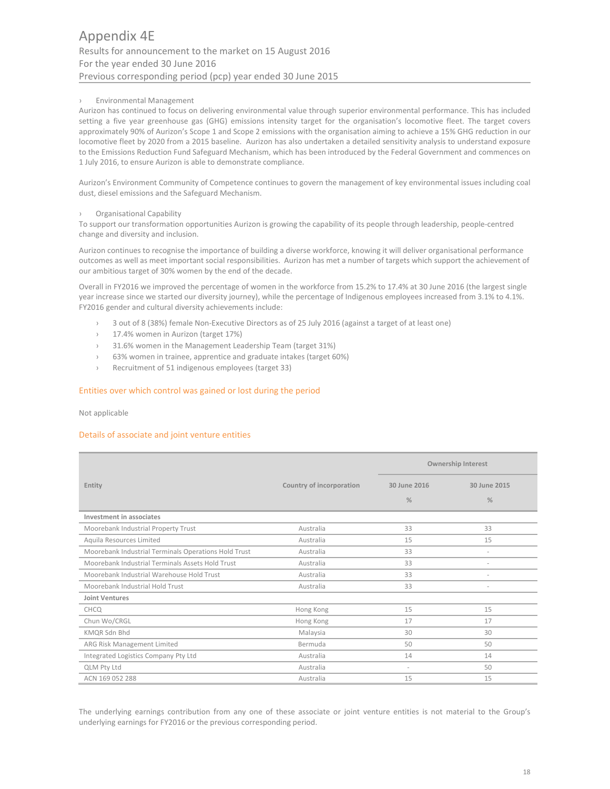# › Environmental Management

Aurizon has continued to focus on delivering environmental value through superior environmental performance. This has included setting a five year greenhouse gas (GHG) emissions intensity target for the organisation's locomotive fleet. The target covers approximately 90% of Aurizon's Scope 1 and Scope 2 emissions with the organisation aiming to achieve a 15% GHG reduction in our locomotive fleet by 2020 from a 2015 baseline. Aurizon has also undertaken a detailed sensitivity analysis to understand exposure to the Emissions Reduction Fund Safeguard Mechanism, which has been introduced by the Federal Government and commences on 1 July 2016, to ensure Aurizon is able to demonstrate compliance.

Aurizon's Environment Community of Competence continues to govern the management of key environmental issues including coal dust, diesel emissions and the Safeguard Mechanism.

## › Organisational Capability

To support our transformation opportunities Aurizon is growing the capability of its people through leadership, people‐centred change and diversity and inclusion.

Aurizon continues to recognise the importance of building a diverse workforce, knowing it will deliver organisational performance outcomes as well as meet important social responsibilities. Aurizon has met a number of targets which support the achievement of our ambitious target of 30% women by the end of the decade.

Overall in FY2016 we improved the percentage of women in the workforce from 15.2% to 17.4% at 30 June 2016 (the largest single year increase since we started our diversity journey), while the percentage of Indigenous employees increased from 3.1% to 4.1%. FY2016 gender and cultural diversity achievements include:

- 3 out of 8 (38%) female Non-Executive Directors as of 25 July 2016 (against a target of at least one)
- 17.4% women in Aurizon (target 17%)
- › 31.6% women in the Management Leadership Team (target 31%)
- › 63% women in trainee, apprentice and graduate intakes (target 60%)
- › Recruitment of 51 indigenous employees (target 33)

# Entities over which control was gained or lost during the period

Not applicable

## Details of associate and joint venture entities

|                                                      |                          | <b>Ownership Interest</b> |                          |
|------------------------------------------------------|--------------------------|---------------------------|--------------------------|
| Entity                                               | Country of incorporation | 30 June 2016              | 30 June 2015             |
|                                                      |                          | $\frac{0}{2}$             | $\frac{9}{6}$            |
| Investment in associates                             |                          |                           |                          |
| Moorebank Industrial Property Trust                  | Australia                | 33                        | 33                       |
| Aquila Resources Limited                             | Australia                | 15                        | 15                       |
| Moorebank Industrial Terminals Operations Hold Trust | Australia                | 33                        | $\overline{\phantom{a}}$ |
| Moorebank Industrial Terminals Assets Hold Trust     | Australia                | 33                        | $\overline{\phantom{a}}$ |
| Moorebank Industrial Warehouse Hold Trust            | Australia                | 33                        |                          |
| Moorebank Industrial Hold Trust                      | Australia                | 33                        |                          |
| <b>Joint Ventures</b>                                |                          |                           |                          |
| CHCQ                                                 | Hong Kong                | 15                        | 15                       |
| Chun Wo/CRGL                                         | Hong Kong                | 17                        | 17                       |
| KMQR Sdn Bhd                                         | Malaysia                 | 30                        | 30                       |
| ARG Risk Management Limited                          | Bermuda                  | 50                        | 50                       |
| Integrated Logistics Company Pty Ltd                 | Australia                | 14                        | 14                       |
| <b>QLM Pty Ltd</b>                                   | Australia                | $\sim$                    | 50                       |
| ACN 169 052 288                                      | Australia                | 15                        | 15                       |

The underlying earnings contribution from any one of these associate or joint venture entities is not material to the Group's underlying earnings for FY2016 or the previous corresponding period.